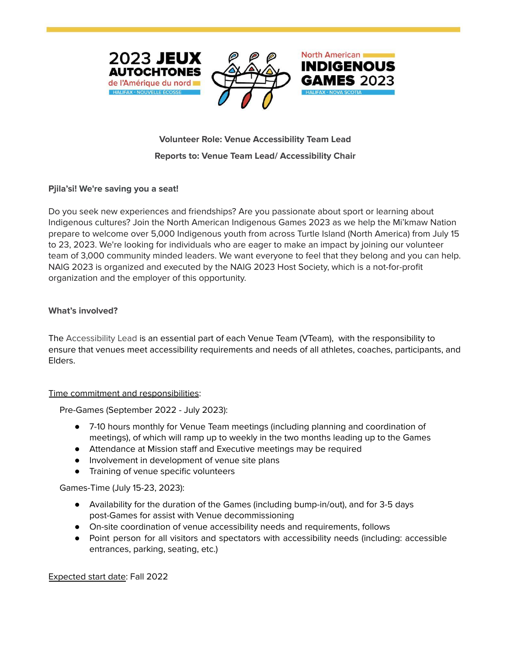





North American

# **Volunteer Role: Venue Accessibility Team Lead Reports to: Venue Team Lead/ Accessibility Chair**

## **Pjila'si! We're saving you a seat!**

Do you seek new experiences and friendships? Are you passionate about sport or learning about Indigenous cultures? Join the North American Indigenous Games 2023 as we help the Mi'kmaw Nation prepare to welcome over 5,000 Indigenous youth from across Turtle Island (North America) from July 15 to 23, 2023. We're looking for individuals who are eager to make an impact by joining our volunteer team of 3,000 community minded leaders. We want everyone to feel that they belong and you can help. NAIG 2023 is organized and executed by the NAIG 2023 Host Society, which is a not-for-profit organization and the employer of this opportunity.

### **What's involved?**

The Accessibility Lead is an essential part of each Venue Team (VTeam), with the responsibility to ensure that venues meet accessibility requirements and needs of all athletes, coaches, participants, and Elders.

### Time commitment and responsibilities:

Pre-Games (September 2022 - July 2023):

- 7-10 hours monthly for Venue Team meetings (including planning and coordination of meetings), of which will ramp up to weekly in the two months leading up to the Games
- Attendance at Mission staff and Executive meetings may be required
- Involvement in development of venue site plans
- Training of venue specific volunteers

Games-Time (July 15-23, 2023):

- Availability for the duration of the Games (including bump-in/out), and for 3-5 days post-Games for assist with Venue decommissioning
- On-site coordination of venue accessibility needs and requirements, follows
- Point person for all visitors and spectators with accessibility needs (including: accessible entrances, parking, seating, etc.)

Expected start date: Fall 2022